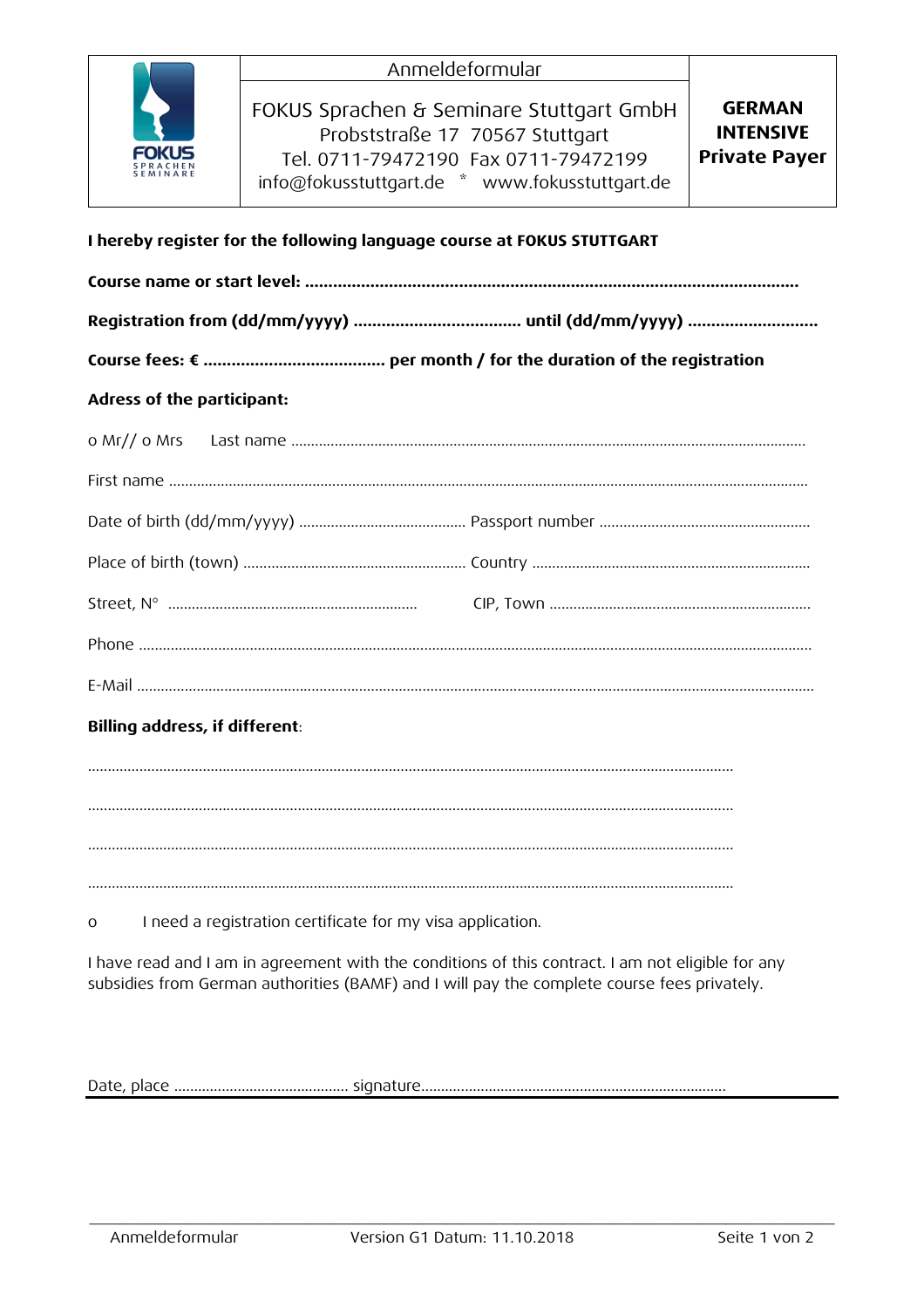| FOKUS<br><b>SPRACHEN</b> |
|--------------------------|
| <b>SEMINARE</b>          |

| <b>GERMAN</b>                                                |  |
|--------------------------------------------------------------|--|
| <b>INTENSIVE</b>                                             |  |
| <b>Private Payer</b><br>Tel. 0711-79472190 Fax 0711-79472199 |  |
|                                                              |  |
|                                                              |  |

# **I hereby register for the following language course at FOKUS STUTTGART**

|          | Billing address, if different:                             |  |
|----------|------------------------------------------------------------|--|
|          |                                                            |  |
|          |                                                            |  |
|          |                                                            |  |
|          |                                                            |  |
| $\Omega$ | I need a registration certificate for my visa application. |  |

I have read and I am in agreement with the conditions of this contract. I am not eligible for any subsidies from German authorities (BAMF) and I will pay the complete course fees privately.

Date, place ............................................ signature.............................................................................